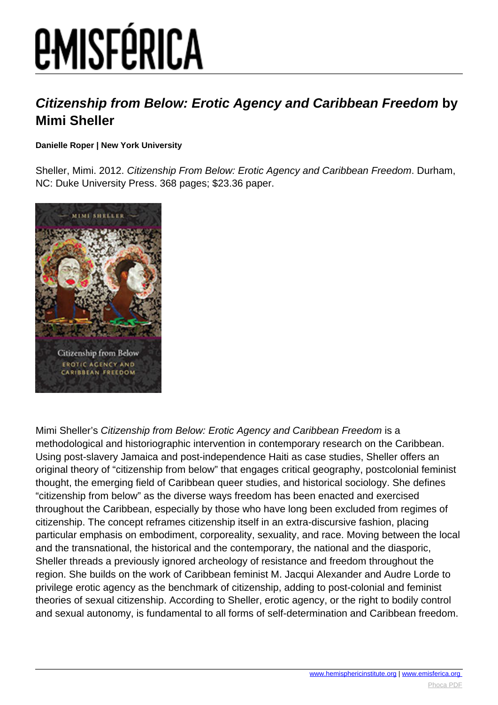# **EMISFÉRICA**

### **Citizenship from Below: Erotic Agency and Caribbean Freedom by Mimi Sheller**

#### **Danielle Roper | New York University**

Sheller, Mimi. 2012. Citizenship From Below: Erotic Agency and Caribbean Freedom. Durham, NC: Duke University Press. 368 pages; \$23.36 paper.



Mimi Sheller's Citizenship from Below: Erotic Agency and Caribbean Freedom is a methodological and historiographic intervention in contemporary research on the Caribbean. Using post-slavery Jamaica and post-independence Haiti as case studies, Sheller offers an original theory of "citizenship from below" that engages critical geography, postcolonial feminist thought, the emerging field of Caribbean queer studies, and historical sociology. She defines "citizenship from below" as the diverse ways freedom has been enacted and exercised throughout the Caribbean, especially by those who have long been excluded from regimes of citizenship. The concept reframes citizenship itself in an extra-discursive fashion, placing particular emphasis on embodiment, corporeality, sexuality, and race. Moving between the local and the transnational, the historical and the contemporary, the national and the diasporic, Sheller threads a previously ignored archeology of resistance and freedom throughout the region. She builds on the work of Caribbean feminist M. Jacqui Alexander and Audre Lorde to privilege erotic agency as the benchmark of citizenship, adding to post-colonial and feminist theories of sexual citizenship. According to Sheller, erotic agency, or the right to bodily control and sexual autonomy, is fundamental to all forms of self-determination and Caribbean freedom.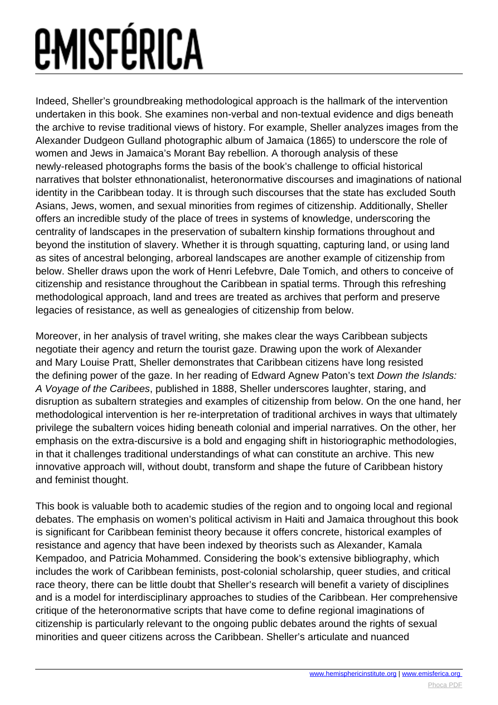# *<u>EMISFÉRICA</u>*

Indeed, Sheller's groundbreaking methodological approach is the hallmark of the intervention undertaken in this book. She examines non-verbal and non-textual evidence and digs beneath the archive to revise traditional views of history. For example, Sheller analyzes images from the Alexander Dudgeon Gulland photographic album of Jamaica (1865) to underscore the role of women and Jews in Jamaica's Morant Bay rebellion. A thorough analysis of these newly-released photographs forms the basis of the book's challenge to official historical narratives that bolster ethnonationalist, heteronormative discourses and imaginations of national identity in the Caribbean today. It is through such discourses that the state has excluded South Asians, Jews, women, and sexual minorities from regimes of citizenship. Additionally, Sheller offers an incredible study of the place of trees in systems of knowledge, underscoring the centrality of landscapes in the preservation of subaltern kinship formations throughout and beyond the institution of slavery. Whether it is through squatting, capturing land, or using land as sites of ancestral belonging, arboreal landscapes are another example of citizenship from below. Sheller draws upon the work of Henri Lefebvre, Dale Tomich, and others to conceive of citizenship and resistance throughout the Caribbean in spatial terms. Through this refreshing methodological approach, land and trees are treated as archives that perform and preserve legacies of resistance, as well as genealogies of citizenship from below.

Moreover, in her analysis of travel writing, she makes clear the ways Caribbean subjects negotiate their agency and return the tourist gaze. Drawing upon the work of Alexander and Mary Louise Pratt, Sheller demonstrates that Caribbean citizens have long resisted the defining power of the gaze. In her reading of Edward Agnew Paton's text Down the Islands: A Voyage of the Caribees, published in 1888, Sheller underscores laughter, staring, and disruption as subaltern strategies and examples of citizenship from below. On the one hand, her methodological intervention is her re-interpretation of traditional archives in ways that ultimately privilege the subaltern voices hiding beneath colonial and imperial narratives. On the other, her emphasis on the extra-discursive is a bold and engaging shift in historiographic methodologies, in that it challenges traditional understandings of what can constitute an archive. This new innovative approach will, without doubt, transform and shape the future of Caribbean history and feminist thought.

This book is valuable both to academic studies of the region and to ongoing local and regional debates. The emphasis on women's political activism in Haiti and Jamaica throughout this book is significant for Caribbean feminist theory because it offers concrete, historical examples of resistance and agency that have been indexed by theorists such as Alexander, Kamala Kempadoo, and Patricia Mohammed. Considering the book's extensive bibliography, which includes the work of Caribbean feminists, post-colonial scholarship, queer studies, and critical race theory, there can be little doubt that Sheller's research will benefit a variety of disciplines and is a model for interdisciplinary approaches to studies of the Caribbean. Her comprehensive critique of the heteronormative scripts that have come to define regional imaginations of citizenship is particularly relevant to the ongoing public debates around the rights of sexual minorities and queer citizens across the Caribbean. Sheller's articulate and nuanced